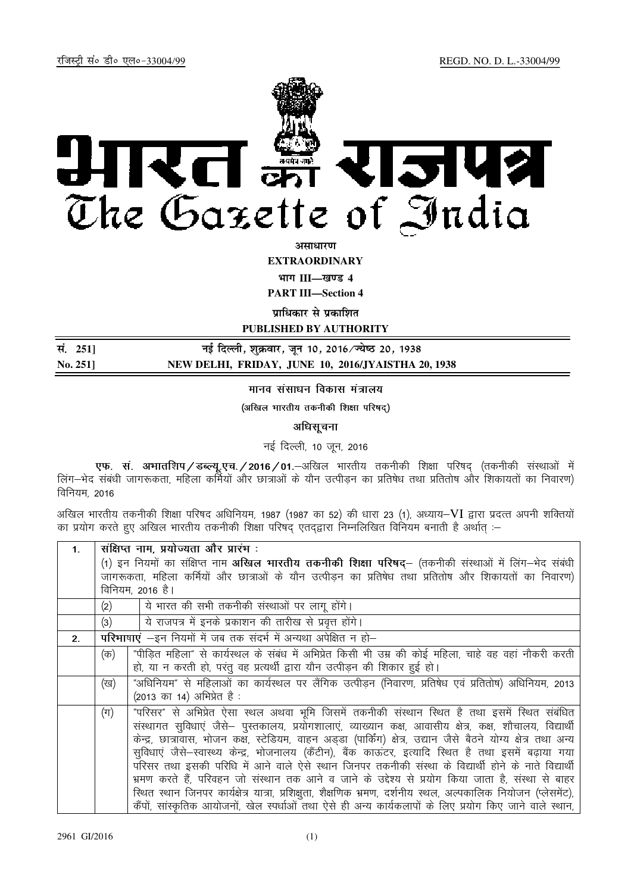

**असाधार**ण

**EXTRAORDINARY**

**Hkkx III—[k.M 4**

**PART III—Section 4** 

**पाधिकार से पका**शित

**PUBLISHED BY AUTHORITY**

| सं. 2511 | नई दिल्ली, शुक्रवार, जून 10, 2016 ∕ न्येष्ठ 20, 1938 |
|----------|------------------------------------------------------|
| No. 251  | NEW DELHI, FRIDAY, JUNE 10, 2016/JYAISTHA 20, 1938   |

# मानव संसाधन विकास मंत्रालय

(अखिल भारतीय तकनीकी शिक्षा परिषद)

### अधिसूचना

नई दिल्ली, 10 जून, 2016

एफ. स. अभातशिप/डब्ल्यू.एच./2016/01. अखिल भारतीय तकनीकी शिक्षा परिषद (तकनीकी संस्थाओं में लिंग—भेद संबंधी जागरूकता, महिला कर्मियों और छात्राओं के यौन उत्पीडन का प्रतिषेध तथा प्रतितोष और शिकायतों का निवारण) विनियम, 2016

अखिल भारतीय तकनीकी शिक्षा परिषद अधिनियम, 1987 (1987 का 52) की धारा 23 (1), अध्याय–VI द्वारा प्रदत्त अपनी शक्तियों का प्रयोग करते हुए अखिल भारतीय तकनीकी शिक्षा परिषद् एतद्द्वारा निम्नलिखित विनियम बनाती है अर्थात् :-

| 1 <sub>1</sub> | सक्षिप्त नाम, प्रयोज्यता और प्रारभ:                                                                   |                                                                                                                  |  |
|----------------|-------------------------------------------------------------------------------------------------------|------------------------------------------------------------------------------------------------------------------|--|
|                | (1) इन नियमों का संक्षिप्त नाम अखिल भारतीय तकनीकी शिक्षा परिषद्– (तकनीकी संस्थाओं में लिंग–भेद संबंधी |                                                                                                                  |  |
|                | जागरूकता, महिला कर्मियों और छात्राओं के यौन उत्पीड़न का प्रतिषेध तथा प्रतितोष और शिकायतों का निवारण)  |                                                                                                                  |  |
|                | विनियम, 2016 है।                                                                                      |                                                                                                                  |  |
|                | (2)                                                                                                   | ये भारत की सभी तकनीकी संस्थाओं पर लागू होंगे।                                                                    |  |
|                | (3)                                                                                                   | ये राजपत्र में इनके प्रकाशन की तारीख से प्रवृत्त होंगे।                                                          |  |
| 2.             | परिभाषाएं -इन नियमों में जब तक संदर्भ में अन्यथा अपेक्षित न हो-                                       |                                                                                                                  |  |
|                | (क)                                                                                                   | "पीडित महिला" से कार्यस्थल के संबंध में अभिप्रेत किसी भी उम्र की कोई महिला, चाहे वह वहां नौकरी करती              |  |
|                |                                                                                                       | हो, या न करती हो, परंतु वह प्रत्यर्थी द्वारा यौन उत्पीड़न की शिकार हुई हो।                                       |  |
|                | (ख)                                                                                                   | "अधिनियम" से महिलाओं का कार्यस्थल पर लैंगिक उत्पीड़न (निवारण, प्रतिषेध एवं प्रतितोष) अधिनियम, 2013               |  |
|                |                                                                                                       | (2013 का 14) अभिप्रेत है:                                                                                        |  |
|                | $(\pi)$                                                                                               | "परिसर" से अभिप्रेत ऐसा स्थल अथवा भूमि जिसमें तकनीकी संस्थान स्थित है तथा इसमें स्थित संबंधित                    |  |
|                |                                                                                                       | संस्थागत सुविधाएं जैसे— पुस्तकालय, प्रयोगशालाएं, व्याख्यान कक्ष, आवासीय क्षेत्र, कक्ष, शौचालय, विद्यार्थी        |  |
|                |                                                                                                       | केन्द्र, छात्रावास, भोजन कक्ष, स्टेडियम, वाहन अड्डा (पार्किंग) क्षेत्र, उद्यान जैसे बैठने योग्य क्षेत्र तथा अन्य |  |
|                |                                                                                                       | सुविधाएं जैसे–स्वास्थ्य केन्द्र, भोजनालय (कैंटीन), बैंक काऊंटर, इत्यादि स्थित है तथा इसमें बढ़ाया गया            |  |
|                |                                                                                                       | परिसर तथा इसकी परिधि में आने वाले ऐसे स्थान जिनपर तकनीकी संस्था के विद्यार्थी होने के नाते विद्यार्थी            |  |
|                |                                                                                                       | भ्रमण करते हैं, परिवहन जो संस्थान तक आने व जाने के उद्देश्य से प्रयोग किया जाता है, संस्था से बाहर               |  |
|                |                                                                                                       | रिथत स्थान जिनपर कार्यक्षेत्र यात्रा, प्रशिक्षुता, शैक्षणिक भ्रमण, दर्शनीय स्थल, अल्पकालिक नियोजन (प्लेसमेंट),   |  |
|                |                                                                                                       | कैंपों, सांस्कृतिक आयोजनों, खेल स्पर्धाओं तथा ऐसे ही अन्य कार्यकलापों के लिए प्रयोग किए जाने वाले स्थान,         |  |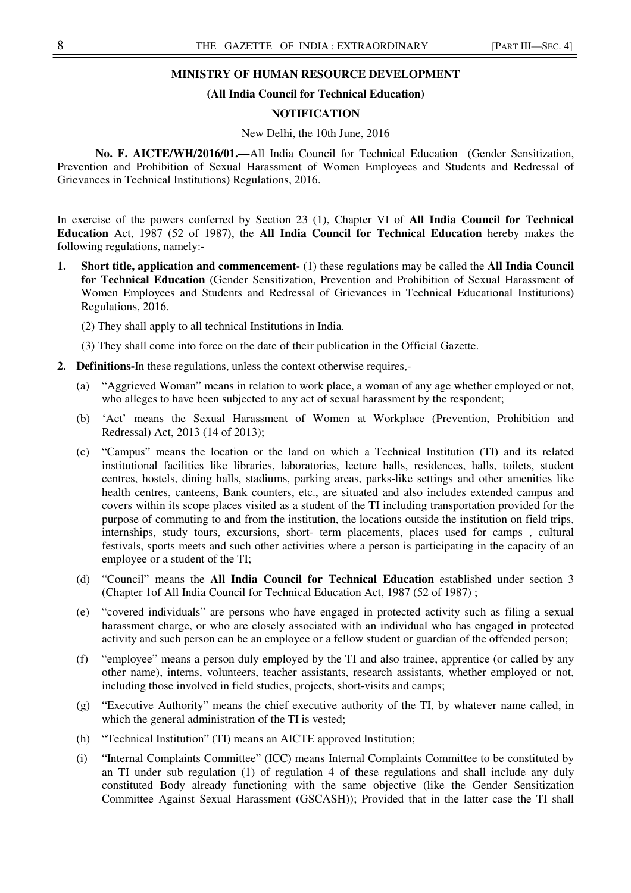### **MINISTRY OF HUMAN RESOURCE DEVELOPMENT**

#### **(All India Council for Technical Education)**

#### **NOTIFICATION**

#### New Delhi, the 10th June, 2016

**No. F. AICTE/WH/2016/01.—**All India Council for Technical Education (Gender Sensitization, Prevention and Prohibition of Sexual Harassment of Women Employees and Students and Redressal of Grievances in Technical Institutions) Regulations, 2016.

In exercise of the powers conferred by Section 23 (1), Chapter VI of **All India Council for Technical Education** Act, 1987 (52 of 1987), the **All India Council for Technical Education** hereby makes the following regulations, namely:-

- **1. Short title, application and commencement-** (1) these regulations may be called the **All India Council for Technical Education** (Gender Sensitization, Prevention and Prohibition of Sexual Harassment of Women Employees and Students and Redressal of Grievances in Technical Educational Institutions) Regulations, 2016.
	- (2) They shall apply to all technical Institutions in India.
	- (3) They shall come into force on the date of their publication in the Official Gazette.
- **2. Definitions-**In these regulations, unless the context otherwise requires,-
	- (a) "Aggrieved Woman" means in relation to work place, a woman of any age whether employed or not, who alleges to have been subjected to any act of sexual harassment by the respondent;
	- (b) 'Act' means the Sexual Harassment of Women at Workplace (Prevention, Prohibition and Redressal) Act, 2013 (14 of 2013);
	- (c) "Campus" means the location or the land on which a Technical Institution (TI) and its related institutional facilities like libraries, laboratories, lecture halls, residences, halls, toilets, student centres, hostels, dining halls, stadiums, parking areas, parks-like settings and other amenities like health centres, canteens, Bank counters, etc., are situated and also includes extended campus and covers within its scope places visited as a student of the TI including transportation provided for the purpose of commuting to and from the institution, the locations outside the institution on field trips, internships, study tours, excursions, short- term placements, places used for camps , cultural festivals, sports meets and such other activities where a person is participating in the capacity of an employee or a student of the TI;
	- (d) "Council" means the **All India Council for Technical Education** established under section 3 (Chapter 1of All India Council for Technical Education Act, 1987 (52 of 1987) ;
	- (e) "covered individuals" are persons who have engaged in protected activity such as filing a sexual harassment charge, or who are closely associated with an individual who has engaged in protected activity and such person can be an employee or a fellow student or guardian of the offended person;
	- (f) "employee" means a person duly employed by the TI and also trainee, apprentice (or called by any other name), interns, volunteers, teacher assistants, research assistants, whether employed or not, including those involved in field studies, projects, short-visits and camps;
	- (g) "Executive Authority" means the chief executive authority of the TI, by whatever name called, in which the general administration of the TI is vested;
	- (h) "Technical Institution" (TI) means an AICTE approved Institution;
	- (i) "Internal Complaints Committee" (ICC) means Internal Complaints Committee to be constituted by an TI under sub regulation (1) of regulation 4 of these regulations and shall include any duly constituted Body already functioning with the same objective (like the Gender Sensitization Committee Against Sexual Harassment (GSCASH)); Provided that in the latter case the TI shall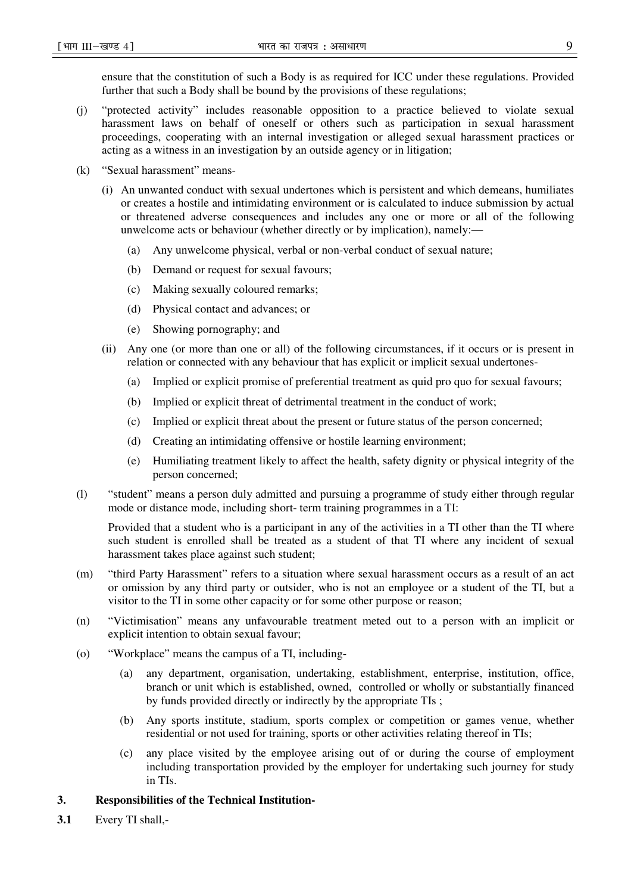ensure that the constitution of such a Body is as required for ICC under these regulations. Provided further that such a Body shall be bound by the provisions of these regulations;

- (j) "protected activity" includes reasonable opposition to a practice believed to violate sexual harassment laws on behalf of oneself or others such as participation in sexual harassment proceedings, cooperating with an internal investigation or alleged sexual harassment practices or acting as a witness in an investigation by an outside agency or in litigation;
- (k) "Sexual harassment" means-
	- (i) An unwanted conduct with sexual undertones which is persistent and which demeans, humiliates or creates a hostile and intimidating environment or is calculated to induce submission by actual or threatened adverse consequences and includes any one or more or all of the following unwelcome acts or behaviour (whether directly or by implication), namely:—
		- (a) Any unwelcome physical, verbal or non-verbal conduct of sexual nature;
		- (b) Demand or request for sexual favours;
		- (c) Making sexually coloured remarks;
		- (d) Physical contact and advances; or
		- (e) Showing pornography; and
	- (ii) Any one (or more than one or all) of the following circumstances, if it occurs or is present in relation or connected with any behaviour that has explicit or implicit sexual undertones-
		- (a) Implied or explicit promise of preferential treatment as quid pro quo for sexual favours;
		- (b) Implied or explicit threat of detrimental treatment in the conduct of work;
		- (c) Implied or explicit threat about the present or future status of the person concerned;
		- (d) Creating an intimidating offensive or hostile learning environment;
		- (e) Humiliating treatment likely to affect the health, safety dignity or physical integrity of the person concerned;
- (l) "student" means a person duly admitted and pursuing a programme of study either through regular mode or distance mode, including short- term training programmes in a TI:

Provided that a student who is a participant in any of the activities in a TI other than the TI where such student is enrolled shall be treated as a student of that TI where any incident of sexual harassment takes place against such student;

- (m) "third Party Harassment" refers to a situation where sexual harassment occurs as a result of an act or omission by any third party or outsider, who is not an employee or a student of the TI, but a visitor to the TI in some other capacity or for some other purpose or reason;
- (n) "Victimisation" means any unfavourable treatment meted out to a person with an implicit or explicit intention to obtain sexual favour;
- (o) "Workplace" means the campus of a TI, including-
	- (a) any department, organisation, undertaking, establishment, enterprise, institution, office, branch or unit which is established, owned, controlled or wholly or substantially financed by funds provided directly or indirectly by the appropriate TIs ;
	- (b) Any sports institute, stadium, sports complex or competition or games venue, whether residential or not used for training, sports or other activities relating thereof in TIs;
	- (c) any place visited by the employee arising out of or during the course of employment including transportation provided by the employer for undertaking such journey for study in TIs.

### **3. Responsibilities of the Technical Institution-**

**3.1** Every TI shall,-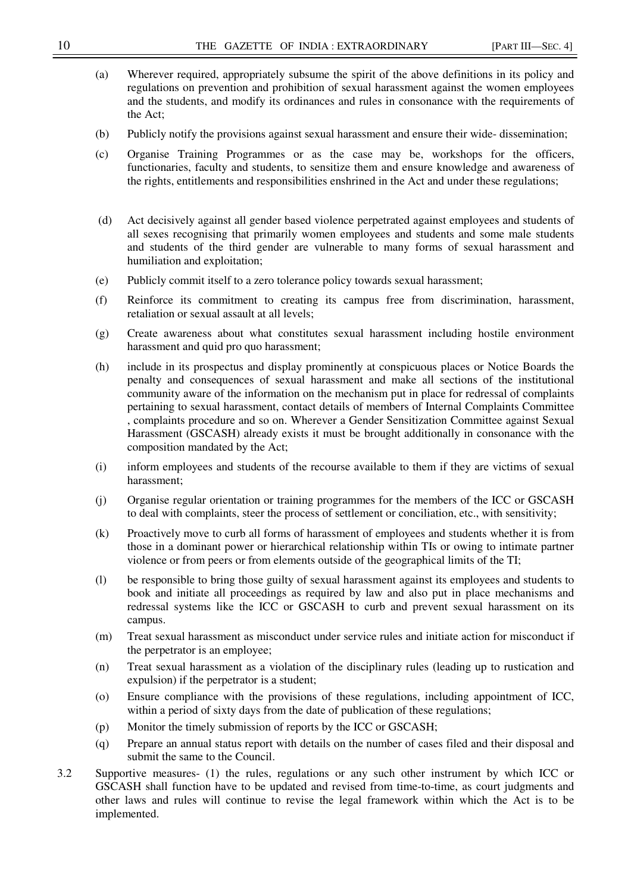- (a) Wherever required, appropriately subsume the spirit of the above definitions in its policy and regulations on prevention and prohibition of sexual harassment against the women employees and the students, and modify its ordinances and rules in consonance with the requirements of the Act;
- (b) Publicly notify the provisions against sexual harassment and ensure their wide- dissemination;
- (c) Organise Training Programmes or as the case may be, workshops for the officers, functionaries, faculty and students, to sensitize them and ensure knowledge and awareness of the rights, entitlements and responsibilities enshrined in the Act and under these regulations;
- (d) Act decisively against all gender based violence perpetrated against employees and students of all sexes recognising that primarily women employees and students and some male students and students of the third gender are vulnerable to many forms of sexual harassment and humiliation and exploitation;
- (e) Publicly commit itself to a zero tolerance policy towards sexual harassment;
- (f) Reinforce its commitment to creating its campus free from discrimination, harassment, retaliation or sexual assault at all levels;
- (g) Create awareness about what constitutes sexual harassment including hostile environment harassment and quid pro quo harassment;
- (h) include in its prospectus and display prominently at conspicuous places or Notice Boards the penalty and consequences of sexual harassment and make all sections of the institutional community aware of the information on the mechanism put in place for redressal of complaints pertaining to sexual harassment, contact details of members of Internal Complaints Committee , complaints procedure and so on. Wherever a Gender Sensitization Committee against Sexual Harassment (GSCASH) already exists it must be brought additionally in consonance with the composition mandated by the Act;
- (i) inform employees and students of the recourse available to them if they are victims of sexual harassment;
- (j) Organise regular orientation or training programmes for the members of the ICC or GSCASH to deal with complaints, steer the process of settlement or conciliation, etc., with sensitivity;
- (k) Proactively move to curb all forms of harassment of employees and students whether it is from those in a dominant power or hierarchical relationship within TIs or owing to intimate partner violence or from peers or from elements outside of the geographical limits of the TI;
- (l) be responsible to bring those guilty of sexual harassment against its employees and students to book and initiate all proceedings as required by law and also put in place mechanisms and redressal systems like the ICC or GSCASH to curb and prevent sexual harassment on its campus.
- (m) Treat sexual harassment as misconduct under service rules and initiate action for misconduct if the perpetrator is an employee;
- (n) Treat sexual harassment as a violation of the disciplinary rules (leading up to rustication and expulsion) if the perpetrator is a student;
- (o) Ensure compliance with the provisions of these regulations, including appointment of ICC, within a period of sixty days from the date of publication of these regulations;
- (p) Monitor the timely submission of reports by the ICC or GSCASH;
- (q) Prepare an annual status report with details on the number of cases filed and their disposal and submit the same to the Council.
- 3.2 Supportive measures- (1) the rules, regulations or any such other instrument by which ICC or GSCASH shall function have to be updated and revised from time-to-time, as court judgments and other laws and rules will continue to revise the legal framework within which the Act is to be implemented.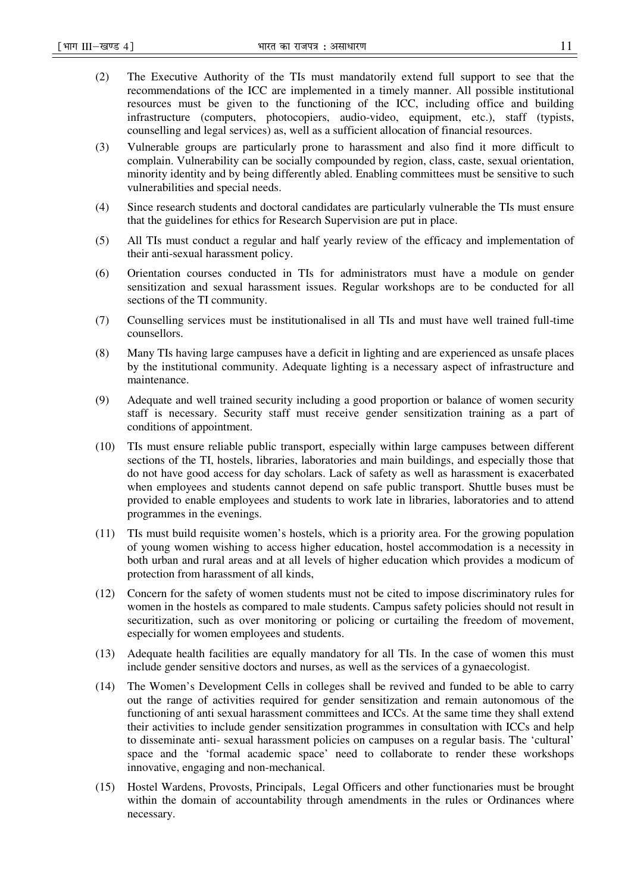- (2) The Executive Authority of the TIs must mandatorily extend full support to see that the recommendations of the ICC are implemented in a timely manner. All possible institutional resources must be given to the functioning of the ICC, including office and building infrastructure (computers, photocopiers, audio-video, equipment, etc.), staff (typists, counselling and legal services) as, well as a sufficient allocation of financial resources.
- (3) Vulnerable groups are particularly prone to harassment and also find it more difficult to complain. Vulnerability can be socially compounded by region, class, caste, sexual orientation, minority identity and by being differently abled. Enabling committees must be sensitive to such vulnerabilities and special needs.
- (4) Since research students and doctoral candidates are particularly vulnerable the TIs must ensure that the guidelines for ethics for Research Supervision are put in place.
- (5) All TIs must conduct a regular and half yearly review of the efficacy and implementation of their anti-sexual harassment policy.
- (6) Orientation courses conducted in TIs for administrators must have a module on gender sensitization and sexual harassment issues. Regular workshops are to be conducted for all sections of the TI community.
- (7) Counselling services must be institutionalised in all TIs and must have well trained full-time counsellors.
- (8) Many TIs having large campuses have a deficit in lighting and are experienced as unsafe places by the institutional community. Adequate lighting is a necessary aspect of infrastructure and maintenance.
- (9) Adequate and well trained security including a good proportion or balance of women security staff is necessary. Security staff must receive gender sensitization training as a part of conditions of appointment.
- (10) TIs must ensure reliable public transport, especially within large campuses between different sections of the TI, hostels, libraries, laboratories and main buildings, and especially those that do not have good access for day scholars. Lack of safety as well as harassment is exacerbated when employees and students cannot depend on safe public transport. Shuttle buses must be provided to enable employees and students to work late in libraries, laboratories and to attend programmes in the evenings.
- (11) TIs must build requisite women's hostels, which is a priority area. For the growing population of young women wishing to access higher education, hostel accommodation is a necessity in both urban and rural areas and at all levels of higher education which provides a modicum of protection from harassment of all kinds,
- (12) Concern for the safety of women students must not be cited to impose discriminatory rules for women in the hostels as compared to male students. Campus safety policies should not result in securitization, such as over monitoring or policing or curtailing the freedom of movement, especially for women employees and students.
- (13) Adequate health facilities are equally mandatory for all TIs. In the case of women this must include gender sensitive doctors and nurses, as well as the services of a gynaecologist.
- (14) The Women's Development Cells in colleges shall be revived and funded to be able to carry out the range of activities required for gender sensitization and remain autonomous of the functioning of anti sexual harassment committees and ICCs. At the same time they shall extend their activities to include gender sensitization programmes in consultation with ICCs and help to disseminate anti- sexual harassment policies on campuses on a regular basis. The 'cultural' space and the 'formal academic space' need to collaborate to render these workshops innovative, engaging and non-mechanical.
- (15) Hostel Wardens, Provosts, Principals, Legal Officers and other functionaries must be brought within the domain of accountability through amendments in the rules or Ordinances where necessary.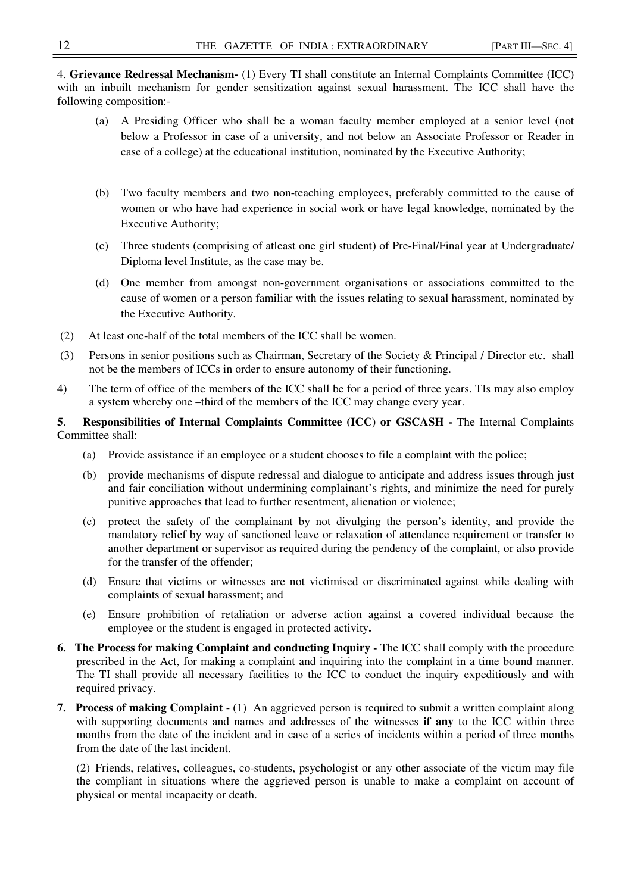4. **Grievance Redressal Mechanism-** (1) Every TI shall constitute an Internal Complaints Committee (ICC) with an inbuilt mechanism for gender sensitization against sexual harassment. The ICC shall have the following composition:-

- (a) A Presiding Officer who shall be a woman faculty member employed at a senior level (not below a Professor in case of a university, and not below an Associate Professor or Reader in case of a college) at the educational institution, nominated by the Executive Authority;
- (b) Two faculty members and two non-teaching employees, preferably committed to the cause of women or who have had experience in social work or have legal knowledge, nominated by the Executive Authority;
- (c) Three students (comprising of atleast one girl student) of Pre-Final/Final year at Undergraduate/ Diploma level Institute, as the case may be.
- (d) One member from amongst non-government organisations or associations committed to the cause of women or a person familiar with the issues relating to sexual harassment, nominated by the Executive Authority.
- (2) At least one-half of the total members of the ICC shall be women.
- (3) Persons in senior positions such as Chairman, Secretary of the Society & Principal / Director etc. shall not be the members of ICCs in order to ensure autonomy of their functioning.
- 4) The term of office of the members of the ICC shall be for a period of three years. TIs may also employ a system whereby one –third of the members of the ICC may change every year.

# **5**. **Responsibilities of Internal Complaints Committee (ICC) or GSCASH -** The Internal Complaints Committee shall:

- (a) Provide assistance if an employee or a student chooses to file a complaint with the police;
- (b) provide mechanisms of dispute redressal and dialogue to anticipate and address issues through just and fair conciliation without undermining complainant's rights, and minimize the need for purely punitive approaches that lead to further resentment, alienation or violence;
- (c) protect the safety of the complainant by not divulging the person's identity, and provide the mandatory relief by way of sanctioned leave or relaxation of attendance requirement or transfer to another department or supervisor as required during the pendency of the complaint, or also provide for the transfer of the offender;
- (d) Ensure that victims or witnesses are not victimised or discriminated against while dealing with complaints of sexual harassment; and
- (e) Ensure prohibition of retaliation or adverse action against a covered individual because the employee or the student is engaged in protected activity**.**
- **6. The Process for making Complaint and conducting Inquiry The ICC shall comply with the procedure** prescribed in the Act, for making a complaint and inquiring into the complaint in a time bound manner. The TI shall provide all necessary facilities to the ICC to conduct the inquiry expeditiously and with required privacy.
- **7. Process of making Complaint** (1) An aggrieved person is required to submit a written complaint along with supporting documents and names and addresses of the witnesses **if any** to the ICC within three months from the date of the incident and in case of a series of incidents within a period of three months from the date of the last incident.

(2) Friends, relatives, colleagues, co-students, psychologist or any other associate of the victim may file the compliant in situations where the aggrieved person is unable to make a complaint on account of physical or mental incapacity or death.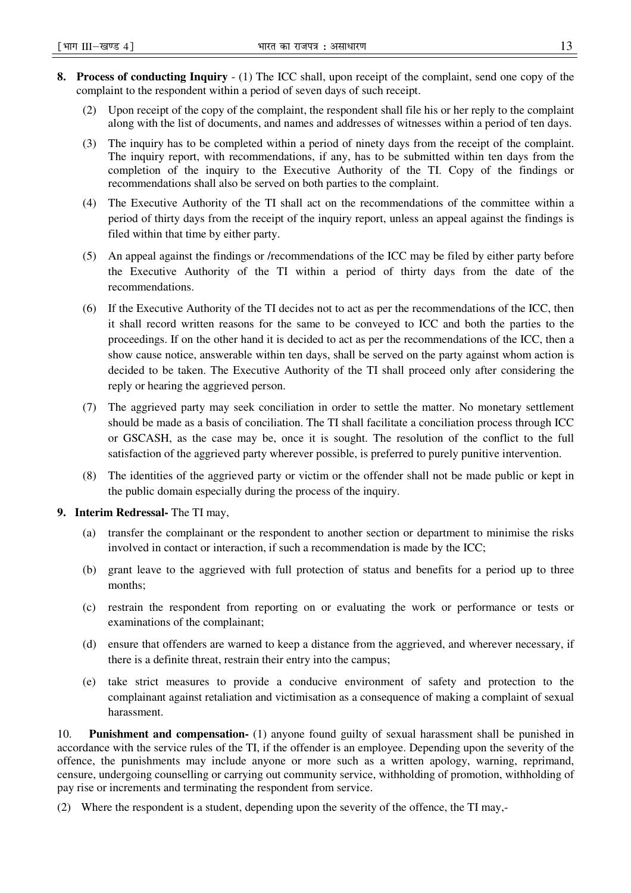- **8. Process of conducting Inquiry**  (1) The ICC shall, upon receipt of the complaint, send one copy of the complaint to the respondent within a period of seven days of such receipt.
	- (2) Upon receipt of the copy of the complaint, the respondent shall file his or her reply to the complaint along with the list of documents, and names and addresses of witnesses within a period of ten days.
	- (3) The inquiry has to be completed within a period of ninety days from the receipt of the complaint. The inquiry report, with recommendations, if any, has to be submitted within ten days from the completion of the inquiry to the Executive Authority of the TI. Copy of the findings or recommendations shall also be served on both parties to the complaint.
	- (4) The Executive Authority of the TI shall act on the recommendations of the committee within a period of thirty days from the receipt of the inquiry report, unless an appeal against the findings is filed within that time by either party.
	- (5) An appeal against the findings or /recommendations of the ICC may be filed by either party before the Executive Authority of the TI within a period of thirty days from the date of the recommendations.
	- (6) If the Executive Authority of the TI decides not to act as per the recommendations of the ICC, then it shall record written reasons for the same to be conveyed to ICC and both the parties to the proceedings. If on the other hand it is decided to act as per the recommendations of the ICC, then a show cause notice, answerable within ten days, shall be served on the party against whom action is decided to be taken. The Executive Authority of the TI shall proceed only after considering the reply or hearing the aggrieved person.
	- (7) The aggrieved party may seek conciliation in order to settle the matter. No monetary settlement should be made as a basis of conciliation. The TI shall facilitate a conciliation process through ICC or GSCASH, as the case may be, once it is sought. The resolution of the conflict to the full satisfaction of the aggrieved party wherever possible, is preferred to purely punitive intervention.
	- (8) The identities of the aggrieved party or victim or the offender shall not be made public or kept in the public domain especially during the process of the inquiry.
- **9. Interim Redressal-** The TI may,
	- (a) transfer the complainant or the respondent to another section or department to minimise the risks involved in contact or interaction, if such a recommendation is made by the ICC;
	- (b) grant leave to the aggrieved with full protection of status and benefits for a period up to three months;
	- (c) restrain the respondent from reporting on or evaluating the work or performance or tests or examinations of the complainant;
	- (d) ensure that offenders are warned to keep a distance from the aggrieved, and wherever necessary, if there is a definite threat, restrain their entry into the campus;
	- (e) take strict measures to provide a conducive environment of safety and protection to the complainant against retaliation and victimisation as a consequence of making a complaint of sexual harassment.

10. **Punishment and compensation-** (1) anyone found guilty of sexual harassment shall be punished in accordance with the service rules of the TI, if the offender is an employee. Depending upon the severity of the offence, the punishments may include anyone or more such as a written apology, warning, reprimand, censure, undergoing counselling or carrying out community service, withholding of promotion, withholding of pay rise or increments and terminating the respondent from service.

(2) Where the respondent is a student, depending upon the severity of the offence, the TI may,-